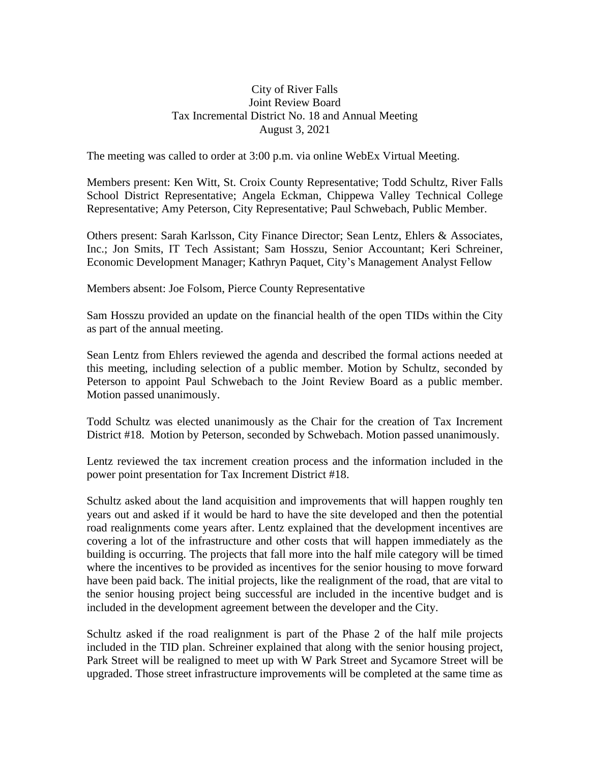## City of River Falls Joint Review Board Tax Incremental District No. 18 and Annual Meeting August 3, 2021

The meeting was called to order at 3:00 p.m. via online WebEx Virtual Meeting.

Members present: Ken Witt, St. Croix County Representative; Todd Schultz, River Falls School District Representative; Angela Eckman, Chippewa Valley Technical College Representative; Amy Peterson, City Representative; Paul Schwebach, Public Member.

Others present: Sarah Karlsson, City Finance Director; Sean Lentz, Ehlers & Associates, Inc.; Jon Smits, IT Tech Assistant; Sam Hosszu, Senior Accountant; Keri Schreiner, Economic Development Manager; Kathryn Paquet, City's Management Analyst Fellow

Members absent: Joe Folsom, Pierce County Representative

Sam Hosszu provided an update on the financial health of the open TIDs within the City as part of the annual meeting.

Sean Lentz from Ehlers reviewed the agenda and described the formal actions needed at this meeting, including selection of a public member. Motion by Schultz, seconded by Peterson to appoint Paul Schwebach to the Joint Review Board as a public member. Motion passed unanimously.

Todd Schultz was elected unanimously as the Chair for the creation of Tax Increment District #18. Motion by Peterson, seconded by Schwebach. Motion passed unanimously.

Lentz reviewed the tax increment creation process and the information included in the power point presentation for Tax Increment District #18.

Schultz asked about the land acquisition and improvements that will happen roughly ten years out and asked if it would be hard to have the site developed and then the potential road realignments come years after. Lentz explained that the development incentives are covering a lot of the infrastructure and other costs that will happen immediately as the building is occurring. The projects that fall more into the half mile category will be timed where the incentives to be provided as incentives for the senior housing to move forward have been paid back. The initial projects, like the realignment of the road, that are vital to the senior housing project being successful are included in the incentive budget and is included in the development agreement between the developer and the City.

Schultz asked if the road realignment is part of the Phase 2 of the half mile projects included in the TID plan. Schreiner explained that along with the senior housing project, Park Street will be realigned to meet up with W Park Street and Sycamore Street will be upgraded. Those street infrastructure improvements will be completed at the same time as